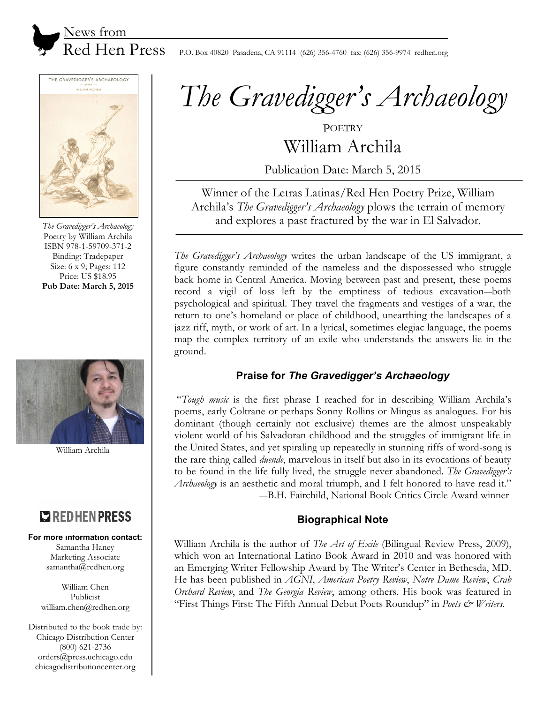



*The Gravedigger's Archaeology* Poetry by William Archila ISBN 978-1-59709-371-2 Binding: Tradepaper Size: 6 x 9; Pages: 112 Price: US \$18.95 **Pub Date: March 5, 2015** 



William Archila

# **EXPREDIEN PRESS**

#### **For more information contact:**

Samantha Haney Marketing Associate samantha@redhen.org

William Chen Publicist william.chen@redhen.org

Distributed to the book trade by: Chicago Distribution Center (800) 621-2736 orders@press.uchicago.edu chicagodistributioncenter.org

*The Gravedigger's Archaeology*

**POETRY** William Archila

Publication Date: March 5, 2015

Winner of the Letras Latinas/Red Hen Poetry Prize, William Archila's *The Gravedigger's Archaeology* plows the terrain of memory and explores a past fractured by the war in El Salvador.

*The Gravedigger's Archaeology* writes the urban landscape of the US immigrant, a figure constantly reminded of the nameless and the dispossessed who struggle back home in Central America. Moving between past and present, these poems record a vigil of loss left by the emptiness of tedious excavation―both psychological and spiritual. They travel the fragments and vestiges of a war, the return to one's homeland or place of childhood, unearthing the landscapes of a jazz riff, myth, or work of art. In a lyrical, sometimes elegiac language, the poems map the complex territory of an exile who understands the answers lie in the ground.

## **Praise for** *The Gravedigger's Archaeology*

 "*Tough music* is the first phrase I reached for in describing William Archila's poems, early Coltrane or perhaps Sonny Rollins or Mingus as analogues. For his dominant (though certainly not exclusive) themes are the almost unspeakably violent world of his Salvadoran childhood and the struggles of immigrant life in the United States, and yet spiraling up repeatedly in stunning riffs of word-song is the rare thing called *duende*, marvelous in itself but also in its evocations of beauty to be found in the life fully lived, the struggle never abandoned. *The Gravedigger's Archaeology* is an aesthetic and moral triumph, and I felt honored to have read it." ―B.H. Fairchild, National Book Critics Circle Award winner

### **Biographical Note**

William Archila is the author of *The Art of Exile* (Bilingual Review Press, 2009), which won an International Latino Book Award in 2010 and was honored with an Emerging Writer Fellowship Award by The Writer's Center in Bethesda, MD. He has been published in *AGNI*, *American Poetry Review*, *Notre Dame Review*, *Crab Orchard Review*, and *The Georgia Review*, among others. His book was featured in "First Things First: The Fifth Annual Debut Poets Roundup" in *Poets & Writers*.